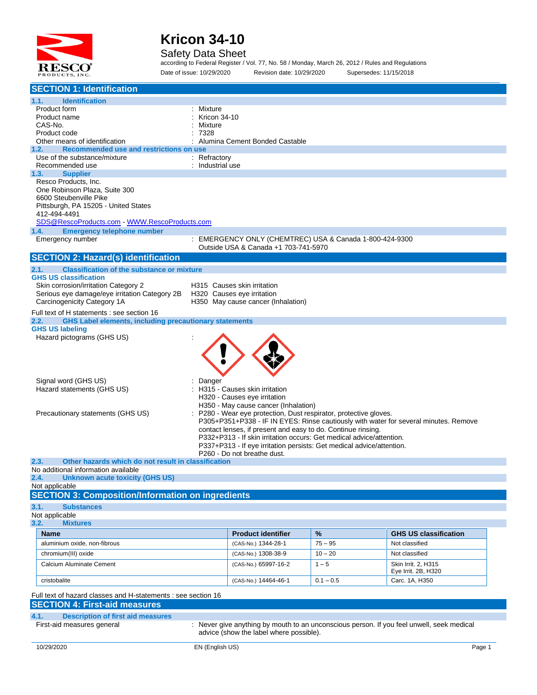

#### Safety Data Sheet

according to Federal Register / Vol. 77, No. 58 / Monday, March 26, 2012 / Rules and Regulations Date of issue: 10/29/2020 Revision date: 10/29/2020 Supersedes: 11/15/2018

| <b>SECTION 1: Identification</b>                                                      |                                                                                                      |             |                                                                                      |  |
|---------------------------------------------------------------------------------------|------------------------------------------------------------------------------------------------------|-------------|--------------------------------------------------------------------------------------|--|
| 1.1.<br><b>Identification</b>                                                         |                                                                                                      |             |                                                                                      |  |
| Product form                                                                          | Mixture                                                                                              |             |                                                                                      |  |
| Product name                                                                          | Kricon 34-10                                                                                         |             |                                                                                      |  |
| CAS-No.<br>Product code                                                               | Mixture<br>7328                                                                                      |             |                                                                                      |  |
| Other means of identification                                                         | Alumina Cement Bonded Castable                                                                       |             |                                                                                      |  |
| 1.2.<br>Recommended use and restrictions on use                                       |                                                                                                      |             |                                                                                      |  |
| Use of the substance/mixture                                                          | : Refractory                                                                                         |             |                                                                                      |  |
| Recommended use<br>1.3.<br><b>Supplier</b>                                            | : Industrial use                                                                                     |             |                                                                                      |  |
| Resco Products, Inc.                                                                  |                                                                                                      |             |                                                                                      |  |
| One Robinson Plaza, Suite 300                                                         |                                                                                                      |             |                                                                                      |  |
| 6600 Steubenville Pike                                                                |                                                                                                      |             |                                                                                      |  |
| Pittsburgh, PA 15205 - United States                                                  |                                                                                                      |             |                                                                                      |  |
| 412-494-4491                                                                          |                                                                                                      |             |                                                                                      |  |
| <b>Emergency telephone number</b><br>1.4.                                             |                                                                                                      |             |                                                                                      |  |
| Emergency number                                                                      | : EMERGENCY ONLY (CHEMTREC) USA & Canada 1-800-424-9300                                              |             |                                                                                      |  |
|                                                                                       | Outside USA & Canada +1 703-741-5970                                                                 |             |                                                                                      |  |
| <b>SECTION 2: Hazard(s) identification</b>                                            |                                                                                                      |             |                                                                                      |  |
| 2.1.<br><b>Classification of the substance or mixture</b>                             |                                                                                                      |             |                                                                                      |  |
| <b>GHS US classification</b>                                                          |                                                                                                      |             |                                                                                      |  |
| Skin corrosion/irritation Category 2<br>Serious eye damage/eye irritation Category 2B | H315 Causes skin irritation                                                                          |             |                                                                                      |  |
| Carcinogenicity Category 1A                                                           | H320 Causes eye irritation<br>H350 May cause cancer (Inhalation)                                     |             |                                                                                      |  |
| Full text of H statements : see section 16                                            |                                                                                                      |             |                                                                                      |  |
| <b>GHS Label elements, including precautionary statements</b><br>2.2.                 |                                                                                                      |             |                                                                                      |  |
| <b>GHS US labeling</b>                                                                |                                                                                                      |             |                                                                                      |  |
| Hazard pictograms (GHS US)                                                            |                                                                                                      |             |                                                                                      |  |
|                                                                                       |                                                                                                      |             |                                                                                      |  |
|                                                                                       |                                                                                                      |             |                                                                                      |  |
|                                                                                       |                                                                                                      |             |                                                                                      |  |
| Signal word (GHS US)                                                                  | Danger                                                                                               |             |                                                                                      |  |
| Hazard statements (GHS US)                                                            | H315 - Causes skin irritation                                                                        |             |                                                                                      |  |
|                                                                                       | H320 - Causes eye irritation                                                                         |             |                                                                                      |  |
|                                                                                       | H350 - May cause cancer (Inhalation)                                                                 |             |                                                                                      |  |
| Precautionary statements (GHS US)                                                     | : P280 - Wear eye protection, Dust respirator, protective gloves.                                    |             | P305+P351+P338 - IF IN EYES: Rinse cautiously with water for several minutes. Remove |  |
|                                                                                       | contact lenses, if present and easy to do. Continue rinsing.                                         |             |                                                                                      |  |
|                                                                                       | P332+P313 - If skin irritation occurs: Get medical advice/attention.                                 |             |                                                                                      |  |
|                                                                                       | P337+P313 - If eye irritation persists: Get medical advice/attention.<br>P260 - Do not breathe dust. |             |                                                                                      |  |
| 2.3.<br>Other hazards which do not result in classification                           |                                                                                                      |             |                                                                                      |  |
| No additional information available                                                   |                                                                                                      |             |                                                                                      |  |
| 2.4. Unknown acute toxicity (GHS US)                                                  |                                                                                                      |             |                                                                                      |  |
| Not applicable<br><b>SECTION 3: Composition/Information on ingredients</b>            |                                                                                                      |             |                                                                                      |  |
|                                                                                       |                                                                                                      |             |                                                                                      |  |
| 3.1.<br><b>Substances</b><br>Not applicable                                           |                                                                                                      |             |                                                                                      |  |
| 3.2.<br><b>Mixtures</b>                                                               |                                                                                                      |             |                                                                                      |  |
| <b>Name</b>                                                                           | <b>Product identifier</b>                                                                            | %           | <b>GHS US classification</b>                                                         |  |
| aluminium oxide, non-fibrous                                                          | (CAS-No.) 1344-28-1                                                                                  | $75 - 95$   | Not classified                                                                       |  |
| chromium(III) oxide                                                                   | (CAS-No.) 1308-38-9                                                                                  | $10 - 20$   | Not classified                                                                       |  |
| Calcium Aluminate Cement                                                              | (CAS-No.) 65997-16-2                                                                                 | $1 - 5$     | Skin Irrit. 2. H315                                                                  |  |
|                                                                                       |                                                                                                      |             | Eye Irrit. 2B, H320                                                                  |  |
| cristobalite                                                                          | (CAS-No.) 14464-46-1                                                                                 | $0.1 - 0.5$ | Carc. 1A, H350                                                                       |  |
| Full text of hazard classes and H-statements : see section 16                         |                                                                                                      |             |                                                                                      |  |
| <b>SECTION 4: First-aid measures</b>                                                  |                                                                                                      |             |                                                                                      |  |
| 4.1.<br><b>Description of first aid measures</b>                                      |                                                                                                      |             |                                                                                      |  |
| First-aid measures general                                                            | : Never give anything by mouth to an unconscious person. If you feel unwell, seek medical            |             |                                                                                      |  |
|                                                                                       | advice (show the label where possible).                                                              |             |                                                                                      |  |
| 10/29/2020                                                                            | EN (English US)                                                                                      |             | Page 1                                                                               |  |
|                                                                                       |                                                                                                      |             |                                                                                      |  |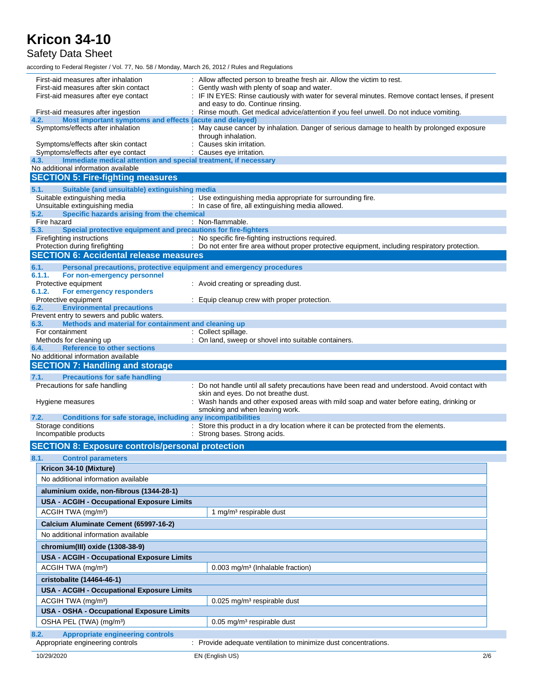Safety Data Sheet

according to Federal Register / Vol. 77, No. 58 / Monday, March 26, 2012 / Rules and Regulations

| First-aid measures after inhalation<br>First-aid measures after skin contact<br>First-aid measures after eye contact<br>First-aid measures after ingestion<br>Most important symptoms and effects (acute and delayed)<br>4.2.    | Allow affected person to breathe fresh air. Allow the victim to rest.<br>Gently wash with plenty of soap and water.<br>IF IN EYES: Rinse cautiously with water for several minutes. Remove contact lenses, if present<br>and easy to do. Continue rinsing.<br>: Rinse mouth. Get medical advice/attention if you feel unwell. Do not induce vomiting. |  |  |
|----------------------------------------------------------------------------------------------------------------------------------------------------------------------------------------------------------------------------------|-------------------------------------------------------------------------------------------------------------------------------------------------------------------------------------------------------------------------------------------------------------------------------------------------------------------------------------------------------|--|--|
| Symptoms/effects after inhalation<br>Symptoms/effects after skin contact<br>Symptoms/effects after eye contact<br>Immediate medical attention and special treatment, if necessary<br>4.3.<br>No additional information available | : May cause cancer by inhalation. Danger of serious damage to health by prolonged exposure<br>through inhalation.<br>: Causes skin irritation.<br>: Causes eye irritation.                                                                                                                                                                            |  |  |
| <b>SECTION 5: Fire-fighting measures</b>                                                                                                                                                                                         |                                                                                                                                                                                                                                                                                                                                                       |  |  |
| Suitable (and unsuitable) extinguishing media<br>5.1.<br>Suitable extinguishing media<br>Unsuitable extinguishing media                                                                                                          | : Use extinguishing media appropriate for surrounding fire.<br>: In case of fire, all extinguishing media allowed.                                                                                                                                                                                                                                    |  |  |
| 5.2.<br>Specific hazards arising from the chemical<br>Fire hazard<br>Special protective equipment and precautions for fire-fighters<br>5.3.                                                                                      | : Non-flammable.                                                                                                                                                                                                                                                                                                                                      |  |  |
| Firefighting instructions<br>Protection during firefighting<br><b>SECTION 6: Accidental release measures</b>                                                                                                                     | : No specific fire-fighting instructions required.<br>: Do not enter fire area without proper protective equipment, including respiratory protection.                                                                                                                                                                                                 |  |  |
| 6.1.<br>Personal precautions, protective equipment and emergency procedures                                                                                                                                                      |                                                                                                                                                                                                                                                                                                                                                       |  |  |
| 6.1.1.<br>For non-emergency personnel<br>Protective equipment<br>6.1.2.<br>For emergency responders                                                                                                                              | : Avoid creating or spreading dust.                                                                                                                                                                                                                                                                                                                   |  |  |
| Protective equipment<br><b>Environmental precautions</b><br>6.2.<br>Prevent entry to sewers and public waters.                                                                                                                   | : Equip cleanup crew with proper protection.                                                                                                                                                                                                                                                                                                          |  |  |
| Methods and material for containment and cleaning up<br>6.3.                                                                                                                                                                     |                                                                                                                                                                                                                                                                                                                                                       |  |  |
| For containment<br>Methods for cleaning up                                                                                                                                                                                       | : Collect spillage.<br>: On land, sweep or shovel into suitable containers.                                                                                                                                                                                                                                                                           |  |  |
| <b>Reference to other sections</b><br>6.4.                                                                                                                                                                                       |                                                                                                                                                                                                                                                                                                                                                       |  |  |
| No additional information available                                                                                                                                                                                              |                                                                                                                                                                                                                                                                                                                                                       |  |  |
| <b>SECTION 7: Handling and storage</b>                                                                                                                                                                                           |                                                                                                                                                                                                                                                                                                                                                       |  |  |
| 7.1.<br><b>Precautions for safe handling</b>                                                                                                                                                                                     |                                                                                                                                                                                                                                                                                                                                                       |  |  |
| Precautions for safe handling<br>Hygiene measures                                                                                                                                                                                | : Do not handle until all safety precautions have been read and understood. Avoid contact with<br>skin and eyes. Do not breathe dust.<br>: Wash hands and other exposed areas with mild soap and water before eating, drinking or                                                                                                                     |  |  |
|                                                                                                                                                                                                                                  | smoking and when leaving work.                                                                                                                                                                                                                                                                                                                        |  |  |
| Conditions for safe storage, including any incompatibilities<br>7.2.<br>Storage conditions<br>Incompatible products                                                                                                              | : Store this product in a dry location where it can be protected from the elements.<br>: Strong bases. Strong acids.                                                                                                                                                                                                                                  |  |  |
| <b>SECTION 8: Exposure controls/personal protection</b>                                                                                                                                                                          |                                                                                                                                                                                                                                                                                                                                                       |  |  |
| 8.1.<br><b>Control parameters</b>                                                                                                                                                                                                |                                                                                                                                                                                                                                                                                                                                                       |  |  |
| $\overline{\phantom{a}}$<br>Kricon 34-10 (Mixture)                                                                                                                                                                               |                                                                                                                                                                                                                                                                                                                                                       |  |  |
| No additional information available                                                                                                                                                                                              |                                                                                                                                                                                                                                                                                                                                                       |  |  |
| aluminium oxide, non-fibrous (1344-28-1)                                                                                                                                                                                         |                                                                                                                                                                                                                                                                                                                                                       |  |  |
| <b>USA - ACGIH - Occupational Exposure Limits</b>                                                                                                                                                                                |                                                                                                                                                                                                                                                                                                                                                       |  |  |
| ACGIH TWA (mg/m <sup>3</sup> )                                                                                                                                                                                                   | 1 mg/m <sup>3</sup> respirable dust                                                                                                                                                                                                                                                                                                                   |  |  |
| Calcium Aluminate Cement (65997-16-2)                                                                                                                                                                                            |                                                                                                                                                                                                                                                                                                                                                       |  |  |
| No additional information available                                                                                                                                                                                              |                                                                                                                                                                                                                                                                                                                                                       |  |  |
| chromium(III) oxide (1308-38-9)                                                                                                                                                                                                  |                                                                                                                                                                                                                                                                                                                                                       |  |  |
| USA - ACGIH - Occupational Exposure Limits                                                                                                                                                                                       |                                                                                                                                                                                                                                                                                                                                                       |  |  |
| ACGIH TWA (mg/m <sup>3</sup> )                                                                                                                                                                                                   | 0.003 mg/m <sup>3</sup> (Inhalable fraction)                                                                                                                                                                                                                                                                                                          |  |  |
| cristobalite (14464-46-1)                                                                                                                                                                                                        |                                                                                                                                                                                                                                                                                                                                                       |  |  |
| USA - ACGIH - Occupational Exposure Limits                                                                                                                                                                                       |                                                                                                                                                                                                                                                                                                                                                       |  |  |
| ACGIH TWA (mg/m <sup>3</sup> )<br>0.025 mg/m <sup>3</sup> respirable dust                                                                                                                                                        |                                                                                                                                                                                                                                                                                                                                                       |  |  |
| USA - OSHA - Occupational Exposure Limits                                                                                                                                                                                        |                                                                                                                                                                                                                                                                                                                                                       |  |  |
| OSHA PEL (TWA) (mg/m <sup>3</sup> )                                                                                                                                                                                              | 0.05 mg/m <sup>3</sup> respirable dust                                                                                                                                                                                                                                                                                                                |  |  |
| <b>Appropriate engineering controls</b><br>8.2.<br>Appropriate engineering controls                                                                                                                                              | : Provide adequate ventilation to minimize dust concentrations.                                                                                                                                                                                                                                                                                       |  |  |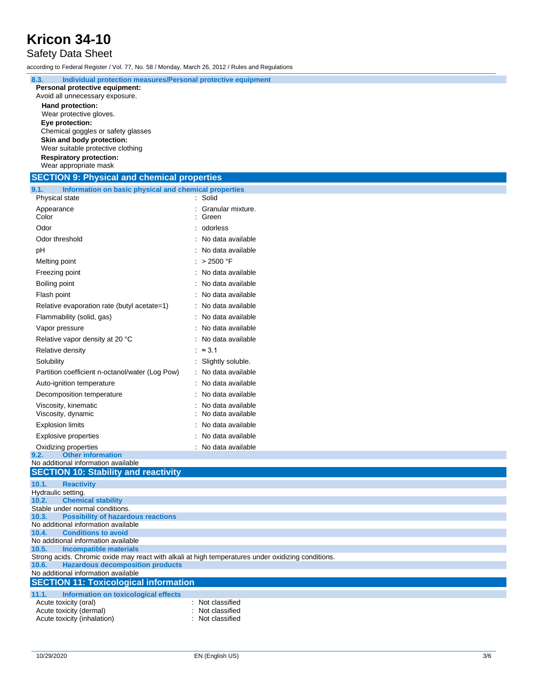#### Safety Data Sheet

according to Federal Register / Vol. 77, No. 58 / Monday, March 26, 2012 / Rules and Regulations

**8.3. Individual protection measures/Personal protective equipment**

| <u>ბ.ა.</u><br>individual protection measures/Personal protective equipment<br>Personal protective equipment: |                     |  |  |  |
|---------------------------------------------------------------------------------------------------------------|---------------------|--|--|--|
| Avoid all unnecessary exposure.                                                                               |                     |  |  |  |
| <b>Hand protection:</b>                                                                                       |                     |  |  |  |
| Wear protective gloves.                                                                                       |                     |  |  |  |
| Eye protection:                                                                                               |                     |  |  |  |
| Chemical goggles or safety glasses<br>Skin and body protection:                                               |                     |  |  |  |
| Wear suitable protective clothing                                                                             |                     |  |  |  |
| <b>Respiratory protection:</b>                                                                                |                     |  |  |  |
| Wear appropriate mask                                                                                         |                     |  |  |  |
| <b>SECTION 9: Physical and chemical properties</b>                                                            |                     |  |  |  |
| 9.1.<br>Information on basic physical and chemical properties<br>Physical state                               | : Solid             |  |  |  |
| Appearance                                                                                                    | Granular mixture.   |  |  |  |
| Color                                                                                                         | Green               |  |  |  |
| Odor                                                                                                          | odorless            |  |  |  |
| Odor threshold                                                                                                | No data available   |  |  |  |
| рH                                                                                                            | No data available   |  |  |  |
| Melting point                                                                                                 | : $>2500$ °F        |  |  |  |
| Freezing point                                                                                                | : No data available |  |  |  |
| Boiling point                                                                                                 | No data available   |  |  |  |
| Flash point                                                                                                   | No data available   |  |  |  |
| Relative evaporation rate (butyl acetate=1)                                                                   | No data available   |  |  |  |
| Flammability (solid, gas)                                                                                     | No data available   |  |  |  |
| Vapor pressure                                                                                                | No data available   |  |  |  |
| Relative vapor density at 20 °C                                                                               | No data available   |  |  |  |
| Relative density                                                                                              | : $\approx$ 3.1     |  |  |  |
| Solubility                                                                                                    | : Slightly soluble. |  |  |  |
| Partition coefficient n-octanol/water (Log Pow)                                                               | No data available   |  |  |  |
| Auto-ignition temperature                                                                                     | No data available   |  |  |  |
| Decomposition temperature<br>No data available                                                                |                     |  |  |  |
| No data available<br>Viscosity, kinematic                                                                     |                     |  |  |  |
| Viscosity, dynamic                                                                                            | No data available   |  |  |  |
| <b>Explosion limits</b>                                                                                       | No data available   |  |  |  |
| <b>Explosive properties</b>                                                                                   | No data available   |  |  |  |
| Oxidizing properties                                                                                          | : No data available |  |  |  |
| <b>Other information</b><br>9.2.<br>No additional information available                                       |                     |  |  |  |
| <b>SECTION 10: Stability and reactivity</b>                                                                   |                     |  |  |  |
| 10.1.<br><b>Reactivity</b>                                                                                    |                     |  |  |  |
| Hydraulic setting.                                                                                            |                     |  |  |  |
| <b>Chemical stability</b><br>10.2.                                                                            |                     |  |  |  |
| Stable under normal conditions.<br><b>Possibility of hazardous reactions</b><br>10.3.                         |                     |  |  |  |
| No additional information available                                                                           |                     |  |  |  |
| <b>Conditions to avoid</b><br>10.4.<br>No additional information available                                    |                     |  |  |  |
| 10.5.<br><b>Incompatible materials</b>                                                                        |                     |  |  |  |
| Strong acids. Chromic oxide may react with alkali at high temperatures under oxidizing conditions.            |                     |  |  |  |
| <b>Hazardous decomposition products</b><br>10.6.<br>No additional information available                       |                     |  |  |  |
| <b>SECTION 11: Toxicological information</b>                                                                  |                     |  |  |  |
| 11.1.<br><b>Information on toxicological effects</b>                                                          |                     |  |  |  |
| Acute toxicity (oral)                                                                                         | Not classified      |  |  |  |
| Acute toxicity (dermal)                                                                                       | Not classified      |  |  |  |
| Acute toxicity (inhalation)                                                                                   | Not classified      |  |  |  |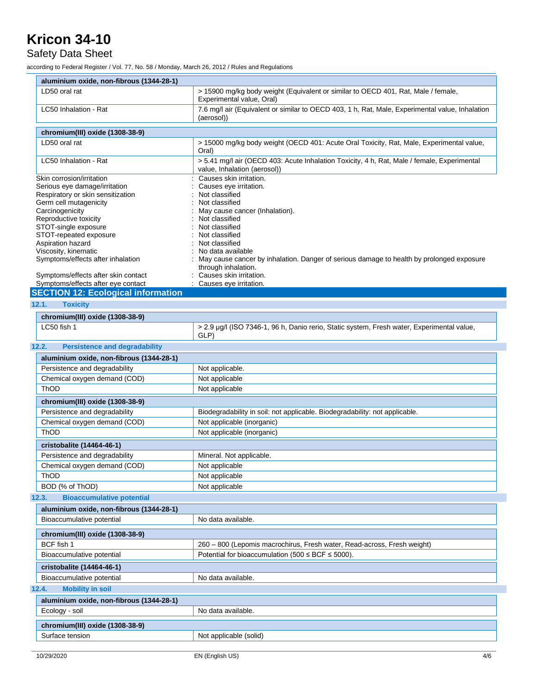#### Safety Data Sheet

according to Federal Register / Vol. 77, No. 58 / Monday, March 26, 2012 / Rules and Regulations

| aluminium oxide, non-fibrous (1344-28-1)                                                                                        |                                                                                                                             |  |  |
|---------------------------------------------------------------------------------------------------------------------------------|-----------------------------------------------------------------------------------------------------------------------------|--|--|
| LD50 oral rat<br>> 15900 mg/kg body weight (Equivalent or similar to OECD 401, Rat, Male / female,<br>Experimental value, Oral) |                                                                                                                             |  |  |
| LC50 Inhalation - Rat                                                                                                           | 7.6 mg/l air (Equivalent or similar to OECD 403, 1 h, Rat, Male, Experimental value, Inhalation<br>(aerosol))               |  |  |
| chromium(III) oxide (1308-38-9)                                                                                                 |                                                                                                                             |  |  |
| LD50 oral rat                                                                                                                   | > 15000 mg/kg body weight (OECD 401: Acute Oral Toxicity, Rat, Male, Experimental value,                                    |  |  |
|                                                                                                                                 | Oral)                                                                                                                       |  |  |
| LC50 Inhalation - Rat                                                                                                           | > 5.41 mg/l air (OECD 403: Acute Inhalation Toxicity, 4 h, Rat, Male / female, Experimental<br>value, Inhalation (aerosol)) |  |  |
| Skin corrosion/irritation                                                                                                       | Causes skin irritation.                                                                                                     |  |  |
| Serious eye damage/irritation                                                                                                   | Causes eye irritation.                                                                                                      |  |  |
| Respiratory or skin sensitization<br>Germ cell mutagenicity                                                                     | Not classified<br>Not classified                                                                                            |  |  |
| Carcinogenicity                                                                                                                 | May cause cancer (Inhalation).                                                                                              |  |  |
| Reproductive toxicity                                                                                                           | Not classified                                                                                                              |  |  |
| STOT-single exposure                                                                                                            | Not classified                                                                                                              |  |  |
| STOT-repeated exposure                                                                                                          | Not classified                                                                                                              |  |  |
| Aspiration hazard<br>Viscosity, kinematic                                                                                       | Not classified<br>No data available                                                                                         |  |  |
| Symptoms/effects after inhalation                                                                                               | May cause cancer by inhalation. Danger of serious damage to health by prolonged exposure                                    |  |  |
|                                                                                                                                 | through inhalation.                                                                                                         |  |  |
| Symptoms/effects after skin contact                                                                                             | Causes skin irritation.                                                                                                     |  |  |
| Symptoms/effects after eye contact                                                                                              | Causes eye irritation.                                                                                                      |  |  |
| <b>SECTION 12: Ecological information</b>                                                                                       |                                                                                                                             |  |  |
| 12.1.<br><b>Toxicity</b>                                                                                                        |                                                                                                                             |  |  |
| chromium(III) oxide (1308-38-9)                                                                                                 |                                                                                                                             |  |  |
| LC50 fish 1                                                                                                                     | > 2.9 µg/l (ISO 7346-1, 96 h, Danio rerio, Static system, Fresh water, Experimental value,<br>GLP)                          |  |  |
| 12.2.<br><b>Persistence and degradability</b>                                                                                   |                                                                                                                             |  |  |
| aluminium oxide, non-fibrous (1344-28-1)                                                                                        |                                                                                                                             |  |  |
| Persistence and degradability                                                                                                   | Not applicable.                                                                                                             |  |  |
| Chemical oxygen demand (COD)                                                                                                    | Not applicable                                                                                                              |  |  |
| <b>ThOD</b>                                                                                                                     | Not applicable                                                                                                              |  |  |
|                                                                                                                                 |                                                                                                                             |  |  |
| chromium(III) oxide (1308-38-9)                                                                                                 |                                                                                                                             |  |  |
| Persistence and degradability<br>Chemical oxygen demand (COD)                                                                   | Biodegradability in soil: not applicable. Biodegradability: not applicable.                                                 |  |  |
| ThOD                                                                                                                            | Not applicable (inorganic)<br>Not applicable (inorganic)                                                                    |  |  |
|                                                                                                                                 |                                                                                                                             |  |  |
| cristobalite (14464-46-1)                                                                                                       |                                                                                                                             |  |  |
| Persistence and degradability                                                                                                   | Mineral. Not applicable.                                                                                                    |  |  |
| Chemical oxygen demand (COD)                                                                                                    | Not applicable                                                                                                              |  |  |
| ThOD                                                                                                                            | Not applicable                                                                                                              |  |  |
| BOD (% of ThOD)                                                                                                                 | Not applicable                                                                                                              |  |  |
| <b>Bioaccumulative potential</b><br>12.3.                                                                                       |                                                                                                                             |  |  |
|                                                                                                                                 | aluminium oxide, non-fibrous (1344-28-1)                                                                                    |  |  |
| Bioaccumulative potential                                                                                                       | No data available.                                                                                                          |  |  |
| chromium(III) oxide (1308-38-9)                                                                                                 |                                                                                                                             |  |  |
| BCF fish 1                                                                                                                      | 260 - 800 (Lepomis macrochirus, Fresh water, Read-across, Fresh weight)                                                     |  |  |
| Bioaccumulative potential                                                                                                       | Potential for bioaccumulation (500 $\leq$ BCF $\leq$ 5000).                                                                 |  |  |
|                                                                                                                                 |                                                                                                                             |  |  |
| cristobalite (14464-46-1)                                                                                                       |                                                                                                                             |  |  |
|                                                                                                                                 | Bioaccumulative potential<br>No data available.                                                                             |  |  |
| <b>Mobility in soil</b><br>12.4.                                                                                                |                                                                                                                             |  |  |
| aluminium oxide, non-fibrous (1344-28-1)                                                                                        |                                                                                                                             |  |  |
| Ecology - soil                                                                                                                  | No data available.                                                                                                          |  |  |
| chromium(III) oxide (1308-38-9)                                                                                                 |                                                                                                                             |  |  |
| Surface tension<br>Not applicable (solid)                                                                                       |                                                                                                                             |  |  |
|                                                                                                                                 |                                                                                                                             |  |  |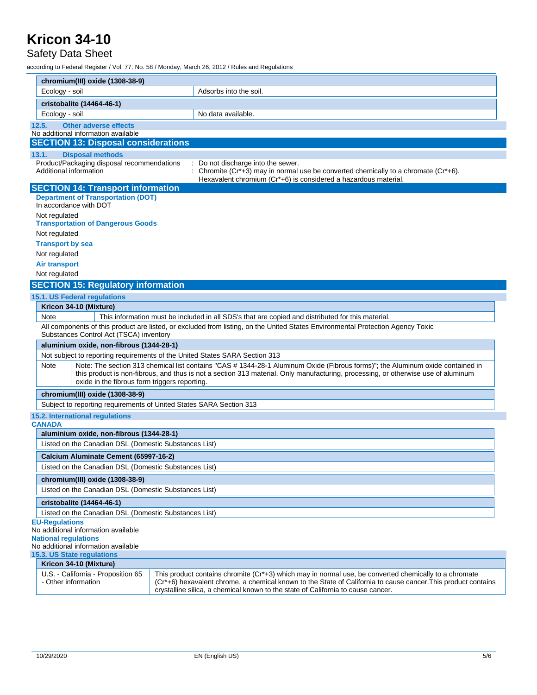#### Safety Data Sheet

according to Federal Register / Vol. 77, No. 58 / Monday, March 26, 2012 / Rules and Regulations

|                           |                                                                                          | chromium(III) oxide (1308-38-9)                                                                                                                                                                                                                                                                                      |                                                                                                                                                                                                                                                                                                            |  |  |
|---------------------------|------------------------------------------------------------------------------------------|----------------------------------------------------------------------------------------------------------------------------------------------------------------------------------------------------------------------------------------------------------------------------------------------------------------------|------------------------------------------------------------------------------------------------------------------------------------------------------------------------------------------------------------------------------------------------------------------------------------------------------------|--|--|
| Ecology - soil            |                                                                                          |                                                                                                                                                                                                                                                                                                                      | Adsorbs into the soil.                                                                                                                                                                                                                                                                                     |  |  |
| cristobalite (14464-46-1) |                                                                                          |                                                                                                                                                                                                                                                                                                                      |                                                                                                                                                                                                                                                                                                            |  |  |
| Ecology - soil            |                                                                                          |                                                                                                                                                                                                                                                                                                                      | No data available.                                                                                                                                                                                                                                                                                         |  |  |
|                           | 12.5.                                                                                    | <b>Other adverse effects</b>                                                                                                                                                                                                                                                                                         |                                                                                                                                                                                                                                                                                                            |  |  |
|                           |                                                                                          | No additional information available                                                                                                                                                                                                                                                                                  |                                                                                                                                                                                                                                                                                                            |  |  |
|                           |                                                                                          | <b>SECTION 13: Disposal considerations</b>                                                                                                                                                                                                                                                                           |                                                                                                                                                                                                                                                                                                            |  |  |
|                           | 13.1.                                                                                    | <b>Disposal methods</b>                                                                                                                                                                                                                                                                                              |                                                                                                                                                                                                                                                                                                            |  |  |
|                           | Additional information                                                                   | Product/Packaging disposal recommendations                                                                                                                                                                                                                                                                           | : Do not discharge into the sewer.<br>Chromite $(Cr^*+3)$ may in normal use be converted chemically to a chromate $(Cr^*+6)$ .                                                                                                                                                                             |  |  |
|                           |                                                                                          |                                                                                                                                                                                                                                                                                                                      | Hexavalent chromium (Cr*+6) is considered a hazardous material.                                                                                                                                                                                                                                            |  |  |
|                           |                                                                                          | <b>SECTION 14: Transport information</b>                                                                                                                                                                                                                                                                             |                                                                                                                                                                                                                                                                                                            |  |  |
|                           | <b>Department of Transportation (DOT)</b><br>In accordance with DOT                      |                                                                                                                                                                                                                                                                                                                      |                                                                                                                                                                                                                                                                                                            |  |  |
|                           | Not regulated                                                                            | <b>Transportation of Dangerous Goods</b>                                                                                                                                                                                                                                                                             |                                                                                                                                                                                                                                                                                                            |  |  |
|                           | Not regulated                                                                            |                                                                                                                                                                                                                                                                                                                      |                                                                                                                                                                                                                                                                                                            |  |  |
|                           | <b>Transport by sea</b>                                                                  |                                                                                                                                                                                                                                                                                                                      |                                                                                                                                                                                                                                                                                                            |  |  |
|                           | Not regulated                                                                            |                                                                                                                                                                                                                                                                                                                      |                                                                                                                                                                                                                                                                                                            |  |  |
|                           | <b>Air transport</b>                                                                     |                                                                                                                                                                                                                                                                                                                      |                                                                                                                                                                                                                                                                                                            |  |  |
|                           | Not regulated                                                                            |                                                                                                                                                                                                                                                                                                                      |                                                                                                                                                                                                                                                                                                            |  |  |
|                           |                                                                                          | <b>SECTION 15: Regulatory information</b>                                                                                                                                                                                                                                                                            |                                                                                                                                                                                                                                                                                                            |  |  |
|                           |                                                                                          | 15.1. US Federal regulations                                                                                                                                                                                                                                                                                         |                                                                                                                                                                                                                                                                                                            |  |  |
|                           |                                                                                          | Kricon 34-10 (Mixture)                                                                                                                                                                                                                                                                                               |                                                                                                                                                                                                                                                                                                            |  |  |
|                           | Note                                                                                     |                                                                                                                                                                                                                                                                                                                      | This information must be included in all SDS's that are copied and distributed for this material.                                                                                                                                                                                                          |  |  |
|                           |                                                                                          | All components of this product are listed, or excluded from listing, on the United States Environmental Protection Agency Toxic<br>Substances Control Act (TSCA) inventory                                                                                                                                           |                                                                                                                                                                                                                                                                                                            |  |  |
|                           |                                                                                          | aluminium oxide, non-fibrous (1344-28-1)                                                                                                                                                                                                                                                                             |                                                                                                                                                                                                                                                                                                            |  |  |
|                           |                                                                                          |                                                                                                                                                                                                                                                                                                                      | Not subject to reporting requirements of the United States SARA Section 313                                                                                                                                                                                                                                |  |  |
|                           | Note                                                                                     | Note: The section 313 chemical list contains "CAS # 1344-28-1 Aluminum Oxide (Fibrous forms)"; the Aluminum oxide contained in<br>this product is non-fibrous, and thus is not a section 313 material. Only manufacturing, processing, or otherwise use of aluminum<br>oxide in the fibrous form triggers reporting. |                                                                                                                                                                                                                                                                                                            |  |  |
|                           |                                                                                          | chromium(III) oxide (1308-38-9)                                                                                                                                                                                                                                                                                      |                                                                                                                                                                                                                                                                                                            |  |  |
|                           | Subject to reporting requirements of United States SARA Section 313                      |                                                                                                                                                                                                                                                                                                                      |                                                                                                                                                                                                                                                                                                            |  |  |
|                           |                                                                                          | 15.2. International regulations                                                                                                                                                                                                                                                                                      |                                                                                                                                                                                                                                                                                                            |  |  |
|                           | <b>CANADA</b>                                                                            |                                                                                                                                                                                                                                                                                                                      |                                                                                                                                                                                                                                                                                                            |  |  |
|                           |                                                                                          | aluminium oxide, non-fibrous (1344-28-1)                                                                                                                                                                                                                                                                             |                                                                                                                                                                                                                                                                                                            |  |  |
|                           | Listed on the Canadian DSL (Domestic Substances List)                                    |                                                                                                                                                                                                                                                                                                                      |                                                                                                                                                                                                                                                                                                            |  |  |
|                           | Calcium Aluminate Cement (65997-16-2)                                                    |                                                                                                                                                                                                                                                                                                                      |                                                                                                                                                                                                                                                                                                            |  |  |
|                           | Listed on the Canadian DSL (Domestic Substances List)                                    |                                                                                                                                                                                                                                                                                                                      |                                                                                                                                                                                                                                                                                                            |  |  |
|                           | chromium(III) oxide (1308-38-9)<br>Listed on the Canadian DSL (Domestic Substances List) |                                                                                                                                                                                                                                                                                                                      |                                                                                                                                                                                                                                                                                                            |  |  |
|                           | cristobalite (14464-46-1)                                                                |                                                                                                                                                                                                                                                                                                                      |                                                                                                                                                                                                                                                                                                            |  |  |
|                           | Listed on the Canadian DSL (Domestic Substances List)                                    |                                                                                                                                                                                                                                                                                                                      |                                                                                                                                                                                                                                                                                                            |  |  |
|                           | <b>EU-Regulations</b>                                                                    |                                                                                                                                                                                                                                                                                                                      |                                                                                                                                                                                                                                                                                                            |  |  |
|                           |                                                                                          | No additional information available                                                                                                                                                                                                                                                                                  |                                                                                                                                                                                                                                                                                                            |  |  |
|                           | <b>National regulations</b>                                                              | No additional information available                                                                                                                                                                                                                                                                                  |                                                                                                                                                                                                                                                                                                            |  |  |
|                           | 15.3. US State regulations                                                               |                                                                                                                                                                                                                                                                                                                      |                                                                                                                                                                                                                                                                                                            |  |  |
|                           | Kricon 34-10 (Mixture)                                                                   |                                                                                                                                                                                                                                                                                                                      |                                                                                                                                                                                                                                                                                                            |  |  |
|                           | - Other information                                                                      | U.S. - California - Proposition 65                                                                                                                                                                                                                                                                                   | This product contains chromite (Cr*+3) which may in normal use, be converted chemically to a chromate<br>(Cr*+6) hexavalent chrome, a chemical known to the State of California to cause cancer. This product contains<br>crystalline silica, a chemical known to the state of California to cause cancer. |  |  |